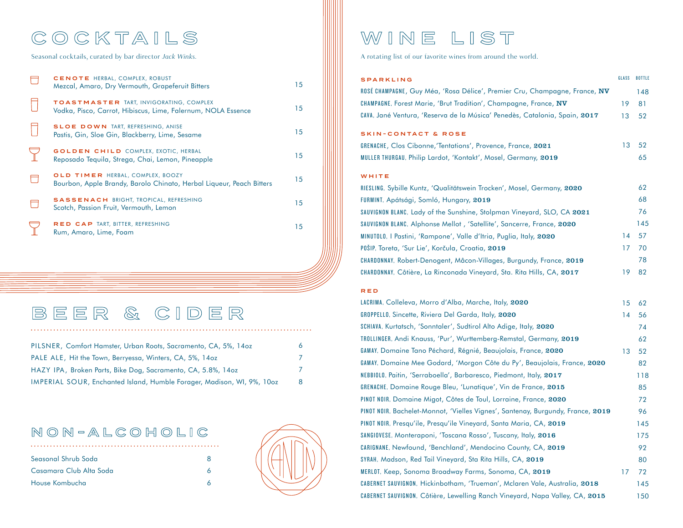# COCKTAILS WINE LIST

| 15 |
|----|
| 15 |
| 15 |
| 15 |
| 15 |
| 15 |
| 15 |
|    |

# BEER & CIDER

| PILSNER, Comfort Hamster, Urban Roots, Sacramento, CA, 5%, 14oz        | 6. |
|------------------------------------------------------------------------|----|
| PALE ALE, Hit the Town, Berryessa, Winters, CA, 5%, 14oz               | 7. |
| HAZY IPA, Broken Parts, Bike Dog, Sacramento, CA, 5.8%, 14oz           | 7  |
| IMPERIAL SOUR, Enchanted Island, Humble Forager, Madison, WI, 9%, 10oz | 8  |

### NON-ALCOHOLIC

| Seasonal Shrub Soda     |  |
|-------------------------|--|
| Casamara Club Alta Soda |  |
| House Kombucha          |  |



Seasonal cocktails, curated by bar director *Jack Winks.* A rotating list of our favorite wines from around the world.

| <b>SPARKLING</b>                                                           | GLASS | <b>BOTTLE</b> |
|----------------------------------------------------------------------------|-------|---------------|
| ROSE CHAMPAGNE, Guy Méa, 'Rosa Délice', Premier Cru, Champagne, France, NV |       | 148           |
| CHAMPAGNE, Forest Marie, 'Brut Tradition', Champagne, France, NV           | 19    | 81            |
| CAVA, Jané Ventura, 'Reserva de la Música' Penedès, Catalonia, Spain, 2017 | 13    | 52            |
| <b>SKIN-CONTACT &amp; ROSE</b>                                             |       |               |
| GRENACHE, Clos Cibonne, Tentations', Provence, France, 2021                | 13    | 52            |
| MULLER THURGAU, Philip Lardot, 'Kontakt', Mosel, Germany, 2019             |       | 65            |
| WHITE                                                                      |       |               |
| RIESLING, Sybille Kuntz, 'Qualitätswein Trocken', Mosel, Germany, 2020     |       | 62            |
| FURMINT, Apátsági, Somló, Hungary, 2019                                    |       | 68            |
| SAUVIGNON BLANC, Lady of the Sunshine, Stolpman Vineyard, SLO, CA 2021     |       | 76            |
| SAUVIGNON BLANC, Alphonse Mellot, 'Satellite', Sancerre, France, 2020      |       | 145           |
| MINUTOLO, I Pastini, 'Rampone', Valle d'Itria, Puglia, Italy, 2020         | 14    | 57            |
| P <sub>0</sub> šIP, Toreta, 'Sur Lie', Korčula, Croatia, 2019              | 17    | 70            |
| CHARDONNAY, Robert-Denogent, Mâcon-Villages, Burgundy, France, 2019        |       | 78            |
| CHARDONNAY, Côtière, La Rinconada Vineyard, Sta. Rita Hills, CA, 2017      | 19    | 82            |
| <b>RED</b>                                                                 |       |               |
| LACRIMA, Colleleva, Morro d'Alba, Marche, Italy, 2020                      | 15    | 62            |

| LACRIMA, Colleleva, Morro d'Alba, Marche, Italy, 2020                           | 15 | 62  |
|---------------------------------------------------------------------------------|----|-----|
| GROPPELLO, Sincette, Riviera Del Garda, Italy, 2020                             | 14 | 56  |
| SCHIAVA, Kurtatsch, 'Sonntaler', Sudtirol Alto Adige, Italy, 2020               |    | 74  |
| TROLLINGER, Andi Knauss, 'Pur', Wurttemberg-Remstal, Germany, 2019              |    | 62  |
| GAMAY, Domaine Tano Péchard, Régnié, Beaujolais, France, 2020                   | 13 | 52  |
| GAMAY, Domaine Mee Godard, 'Morgon Côte du Py', Beaujolais, France, 2020        |    | 82  |
| NEBBIOLO, Paitin, 'Serraboella', Barbaresco, Piedmont, Italy, 2017              |    | 118 |
| GRENACHE, Domaine Rouge Bleu, 'Lunatique', Vin de France, 2015                  |    | 85  |
| PINOT NOIR, Domaine Migot, Côtes de Toul, Lorraine, France, 2020                |    | 72  |
| PINOT NOIR, Bachelet-Monnot, 'Vielles Vignes', Santenay, Burgundy, France, 2019 |    | 96  |
| PINOT NOIR, Presqu'ile, Presqu'ile Vineyard, Santa Maria, CA, 2019              |    | 145 |
| SANGIOVESE, Monteraponi, 'Toscana Rosso', Tuscany, Italy, 2016                  |    | 175 |
| CARIGNANE, Newfound, 'Benchland', Mendocino County, CA, 2019                    |    | 92  |
| SYRAH, Madson, Red Tail Vineyard, Sta Rita Hills, CA, 2019                      |    | 80  |
| MERLOT, Keep, Sonoma Broadway Farms, Sonoma, CA, 2019                           | 17 | 72  |
| CABERNET SAUVIGNON, Hickinbotham, 'Trueman', Mclaren Vale, Australia, 2018      |    | 145 |
| CABERNET SAUVIGNON, Côtière, Lewelling Ranch Vineyard, Napa Valley, CA, 2015    |    | 150 |